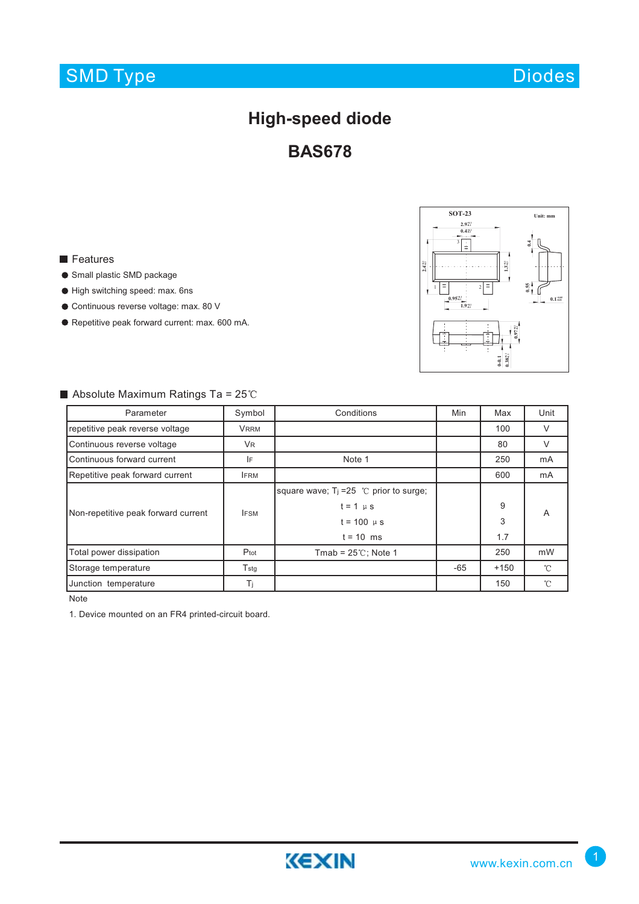# SMD Type

### **High-speed diode**

**BAS678**

#### **Features**

- Small plastic SMD package
- High switching speed: max. 6ns
- Continuous reverse voltage: max. 80 V
- Repetitive peak forward current: max. 600 mA.



#### $\blacksquare$  Absolute Maximum Ratings Ta = 25°C

| Parameter                           | Symbol        | Conditions                                 | Min   | Max    | Unit         |
|-------------------------------------|---------------|--------------------------------------------|-------|--------|--------------|
| repetitive peak reverse voltage     | <b>VRRM</b>   |                                            |       | 100    | V            |
| Continuous reverse voltage          | <b>VR</b>     |                                            |       | 80     | V            |
| Continuous forward current          | IF            | Note 1                                     |       | 250    | mA           |
| Repetitive peak forward current     | <b>IFRM</b>   |                                            |       | 600    | mA           |
| Non-repetitive peak forward current | <b>IFSM</b>   | square wave; $T_1 = 25$ °C prior to surge; |       |        | A            |
|                                     |               | $t = 1 \mu s$                              |       | 9      |              |
|                                     |               | $t = 100 \mu s$                            |       | 3      |              |
|                                     |               | $t = 10$ ms                                |       | 1.7    |              |
| Total power dissipation             | Ptot          | Tmab = $25^{\circ}$ C; Note 1              |       | 250    | mW           |
| Storage temperature                 | $T_{\rm stg}$ |                                            | $-65$ | $+150$ | $^{\circ}$ C |
| Junction temperature                | Ti            |                                            |       | 150    | $^{\circ}$ C |

Note

1. Device mounted on an FR4 printed-circuit board.